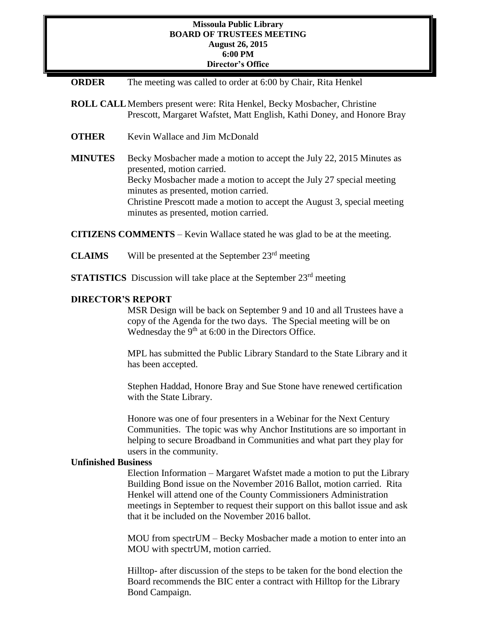### **Missoula Public Library BOARD OF TRUSTEES MEETING August 26, 2015 6:00 PM Director's Office**

| <b>ORDER</b> |  |  | The meeting was called to order at 6:00 by Chair, Rita Henkel |  |
|--------------|--|--|---------------------------------------------------------------|--|
|--------------|--|--|---------------------------------------------------------------|--|

- **ROLL CALL**Members present were: Rita Henkel, Becky Mosbacher, Christine Prescott, Margaret Wafstet, Matt English, Kathi Doney, and Honore Bray
- **OTHER** Kevin Wallace and Jim McDonald
- **MINUTES** Becky Mosbacher made a motion to accept the July 22, 2015 Minutes as presented, motion carried. Becky Mosbacher made a motion to accept the July 27 special meeting minutes as presented, motion carried. Christine Prescott made a motion to accept the August 3, special meeting minutes as presented, motion carried.

**CITIZENS COMMENTS** – Kevin Wallace stated he was glad to be at the meeting.

- **CLAIMS** Will be presented at the September 23rd meeting
- **STATISTICS** Discussion will take place at the September 23<sup>rd</sup> meeting

# **DIRECTOR'S REPORT**

MSR Design will be back on September 9 and 10 and all Trustees have a copy of the Agenda for the two days. The Special meeting will be on Wednesday the 9<sup>th</sup> at 6:00 in the Directors Office.

MPL has submitted the Public Library Standard to the State Library and it has been accepted.

Stephen Haddad, Honore Bray and Sue Stone have renewed certification with the State Library.

Honore was one of four presenters in a Webinar for the Next Century Communities. The topic was why Anchor Institutions are so important in helping to secure Broadband in Communities and what part they play for users in the community.

#### **Unfinished Business**

Election Information – Margaret Wafstet made a motion to put the Library Building Bond issue on the November 2016 Ballot, motion carried. Rita Henkel will attend one of the County Commissioners Administration meetings in September to request their support on this ballot issue and ask that it be included on the November 2016 ballot.

MOU from spectrUM – Becky Mosbacher made a motion to enter into an MOU with spectrUM, motion carried.

Hilltop- after discussion of the steps to be taken for the bond election the Board recommends the BIC enter a contract with Hilltop for the Library Bond Campaign.